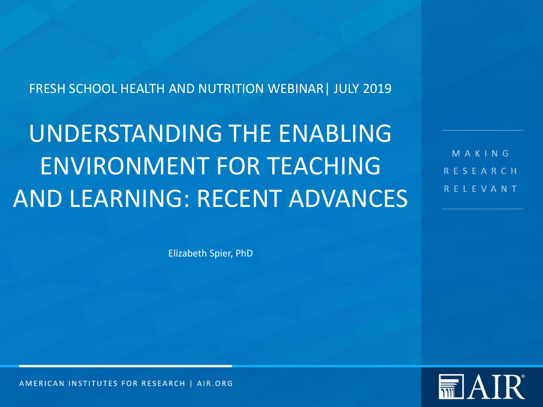FRESH SCHOOL HEALTH AND NUTRITION WEBINAR| JULY 2019

UNDERSTANDING THE ENABLING ENVIRONMENT FOR TEACHING AND LEARNING: RECENT ADVANCES

Elizabeth Spier, PhD

MAKING RESEARCH RELEVANT

 $\blacksquare$  AIR

AMERICAN INSTITUTES FOR RESEARCH | AIR.ORG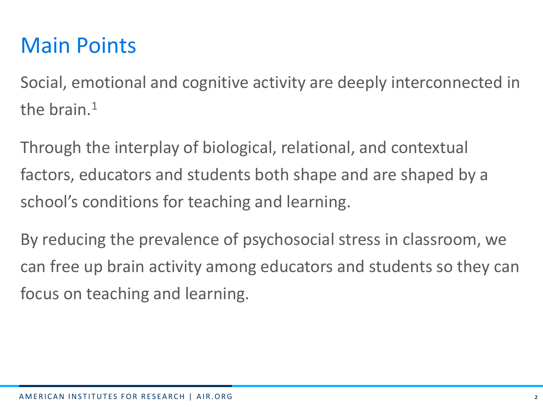#### Main Points

Social, emotional and cognitive activity are deeply interconnected in the brain. $1$ 

Through the interplay of biological, relational, and contextual factors, educators and students both shape and are shaped by a school's conditions for teaching and learning.

By reducing the prevalence of psychosocial stress in classroom, we can free up brain activity among educators and students so they can focus on teaching and learning.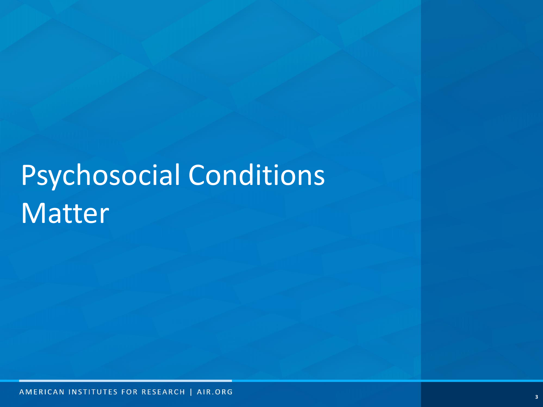# Psychosocial Conditions Matter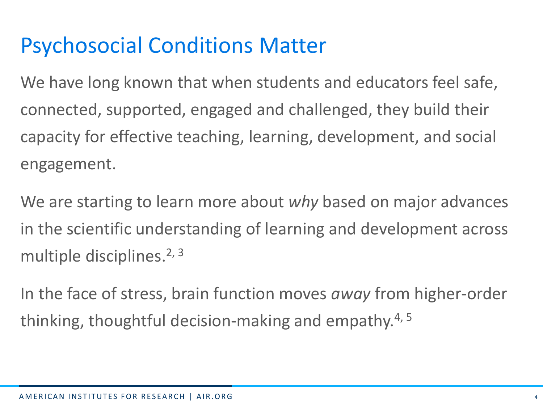#### Psychosocial Conditions Matter

We have long known that when students and educators feel safe, connected, supported, engaged and challenged, they build their capacity for effective teaching, learning, development, and social engagement.

We are starting to learn more about *why* based on major advances in the scientific understanding of learning and development across multiple disciplines.  $2, 3$ 

In the face of stress, brain function moves *away* from higher-order thinking, thoughtful decision-making and empathy. $4, 5$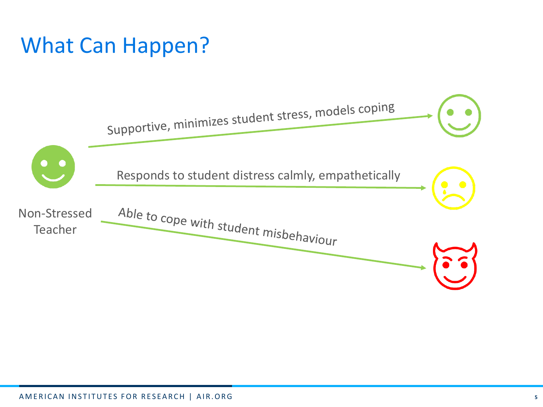### What Can Happen?

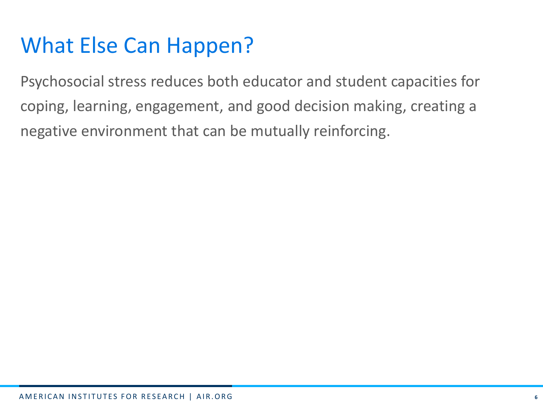### What Else Can Happen?

Psychosocial stress reduces both educator and student capacities for coping, learning, engagement, and good decision making, creating a negative environment that can be mutually reinforcing.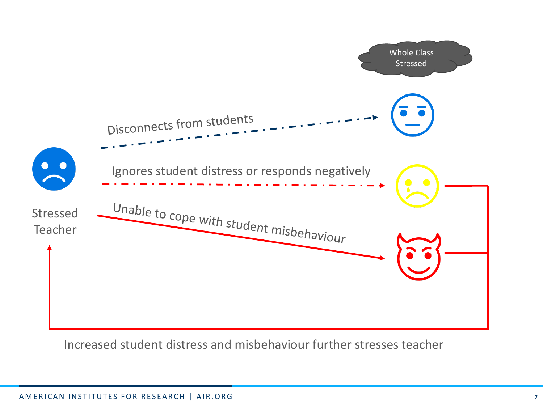

Increased student distress and misbehaviour further stresses teacher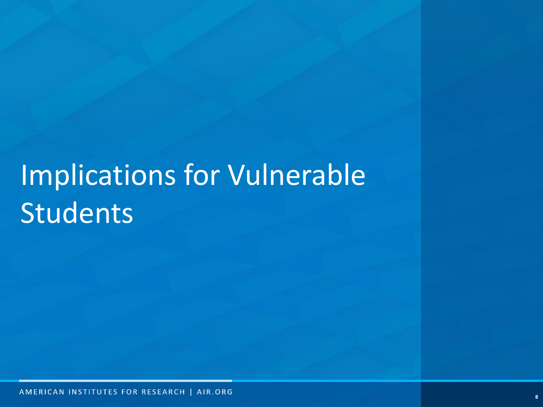## Implications for Vulnerable Students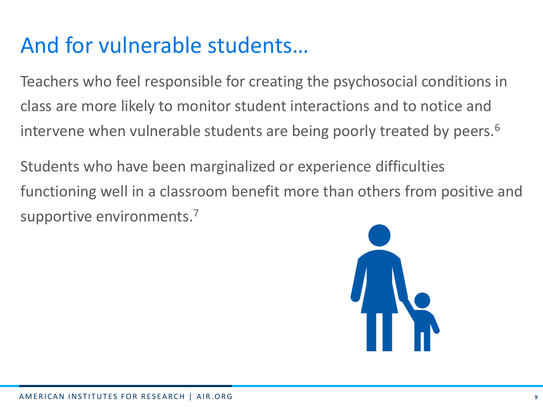### And for vulnerable students…

Teachers who feel responsible for creating the psychosocial conditions in class are more likely to monitor student interactions and to notice and intervene when vulnerable students are being poorly treated by peers.<sup>6</sup>

Students who have been marginalized or experience difficulties functioning well in a classroom benefit more than others from positive and supportive environments.<sup>7</sup>

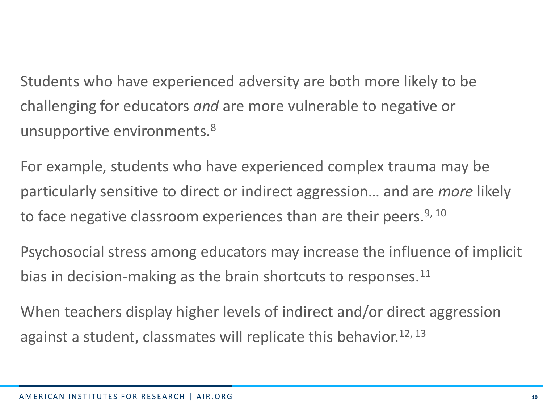Students who have experienced adversity are both more likely to be challenging for educators *and* are more vulnerable to negative or unsupportive environments.<sup>8</sup>

For example, students who have experienced complex trauma may be particularly sensitive to direct or indirect aggression… and are *more* likely to face negative classroom experiences than are their peers.<sup>9, 10</sup>

Psychosocial stress among educators may increase the influence of implicit bias in decision-making as the brain shortcuts to responses. $11$ 

When teachers display higher levels of indirect and/or direct aggression against a student, classmates will replicate this behavior.<sup>12, 13</sup>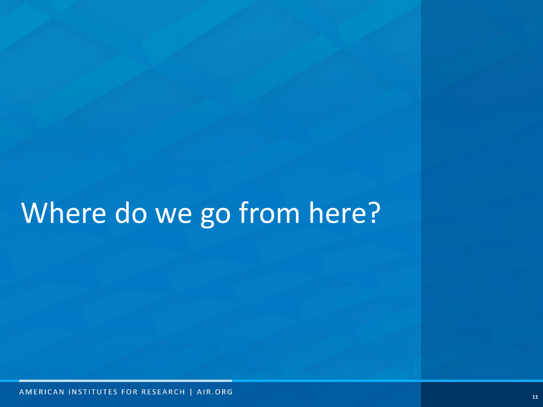### Where do we go from here?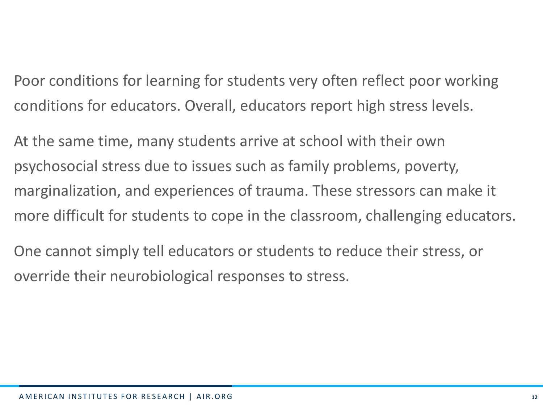Poor conditions for learning for students very often reflect poor working conditions for educators. Overall, educators report high stress levels.

At the same time, many students arrive at school with their own psychosocial stress due to issues such as family problems, poverty, marginalization, and experiences of trauma. These stressors can make it more difficult for students to cope in the classroom, challenging educators.

One cannot simply tell educators or students to reduce their stress, or override their neurobiological responses to stress.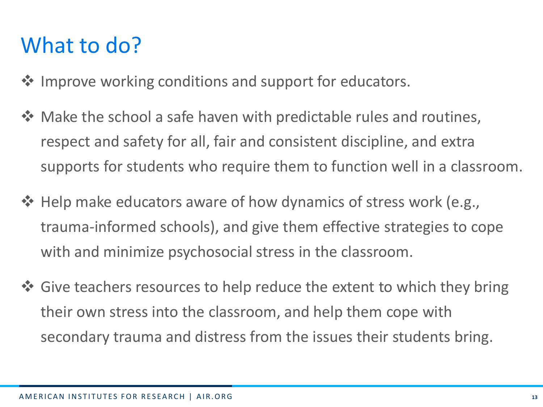#### What to do?

- ❖ Improve working conditions and support for educators.
- Make the school a safe haven with predictable rules and routines, respect and safety for all, fair and consistent discipline, and extra supports for students who require them to function well in a classroom.
- $\triangle$  Help make educators aware of how dynamics of stress work (e.g., trauma-informed schools), and give them effective strategies to cope with and minimize psychosocial stress in the classroom.
- $\dots$  Give teachers resources to help reduce the extent to which they bring their own stress into the classroom, and help them cope with secondary trauma and distress from the issues their students bring.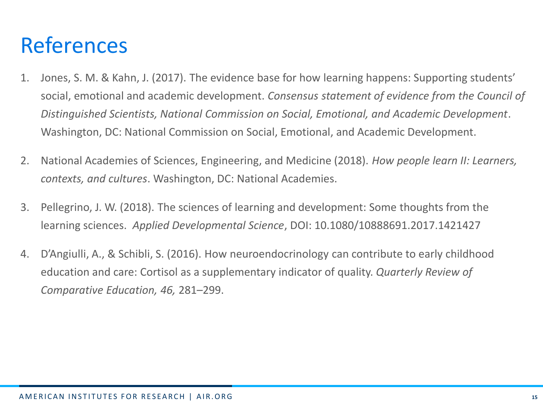- 1. Jones, S. M. & Kahn, J. (2017). The evidence base for how learning happens: Supporting students' social, emotional and academic development. *Consensus statement of evidence from the Council of Distinguished Scientists, National Commission on Social, Emotional, and Academic Development*. Washington, DC: National Commission on Social, Emotional, and Academic Development.
- 2. National Academies of Sciences, Engineering, and Medicine (2018). *How people learn II: Learners, contexts, and cultures*. Washington, DC: National Academies.
- 3. Pellegrino, J. W. (2018). The sciences of learning and development: Some thoughts from the learning sciences. *Applied Developmental Science*, DOI: 10.1080/10888691.2017.1421427
- 4. D'Angiulli, A., & Schibli, S. (2016). How neuroendocrinology can contribute to early childhood education and care: Cortisol as a supplementary indicator of quality. *Quarterly Review of Comparative Education, 46,* 281–299.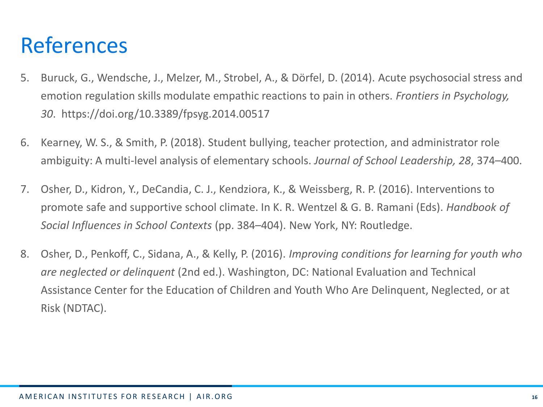- 5. Buruck, G., Wendsche, J., Melzer, M., Strobel, A., & Dörfel, D. (2014). Acute psychosocial stress and emotion regulation skills modulate empathic reactions to pain in others. *Frontiers in Psychology, 30*. https://doi.org/10.3389/fpsyg.2014.00517
- 6. Kearney, W. S., & Smith, P. (2018). Student bullying, teacher protection, and administrator role ambiguity: A multi-level analysis of elementary schools. *Journal of School Leadership, 28*, 374–400.
- 7. Osher, D., Kidron, Y., DeCandia, C. J., Kendziora, K., & Weissberg, R. P. (2016). Interventions to promote safe and supportive school climate. In K. R. Wentzel & G. B. Ramani (Eds). *Handbook of Social Influences in School Contexts* (pp. 384–404). New York, NY: Routledge.
- 8. Osher, D., Penkoff, C., Sidana, A., & Kelly, P. (2016). *Improving conditions for learning for youth who are neglected or delinquent* (2nd ed.). Washington, DC: National Evaluation and Technical Assistance Center for the Education of Children and Youth Who Are Delinquent, Neglected, or at Risk (NDTAC).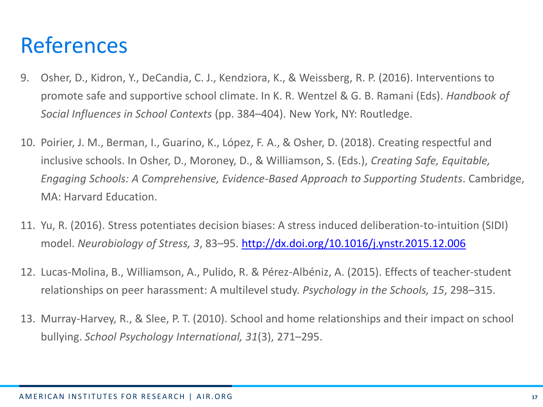- 9. Osher, D., Kidron, Y., DeCandia, C. J., Kendziora, K., & Weissberg, R. P. (2016). Interventions to promote safe and supportive school climate. In K. R. Wentzel & G. B. Ramani (Eds). *Handbook of Social Influences in School Contexts* (pp. 384–404). New York, NY: Routledge.
- 10. Poirier, J. M., Berman, I., Guarino, K., López, F. A., & Osher, D. (2018). Creating respectful and inclusive schools. In Osher, D., Moroney, D., & Williamson, S. (Eds.), *Creating Safe, Equitable, Engaging Schools: A Comprehensive, Evidence-Based Approach to Supporting Students*. Cambridge, MA: Harvard Education.
- 11. Yu, R. (2016). Stress potentiates decision biases: A stress induced deliberation-to-intuition (SIDI) model. *Neurobiology of Stress, 3*, 83–95.<http://dx.doi.org/10.1016/j.ynstr.2015.12.006>
- 12. Lucas-Molina, B., Williamson, A., Pulido, R. & Pérez-Albéniz, A. (2015). Effects of teacher-student relationships on peer harassment: A multilevel study. *Psychology in the Schools, 15*, 298–315.
- 13. Murray-Harvey, R., & Slee, P. T. (2010). School and home relationships and their impact on school bullying. *School Psychology International, 31*(3), 271–295.